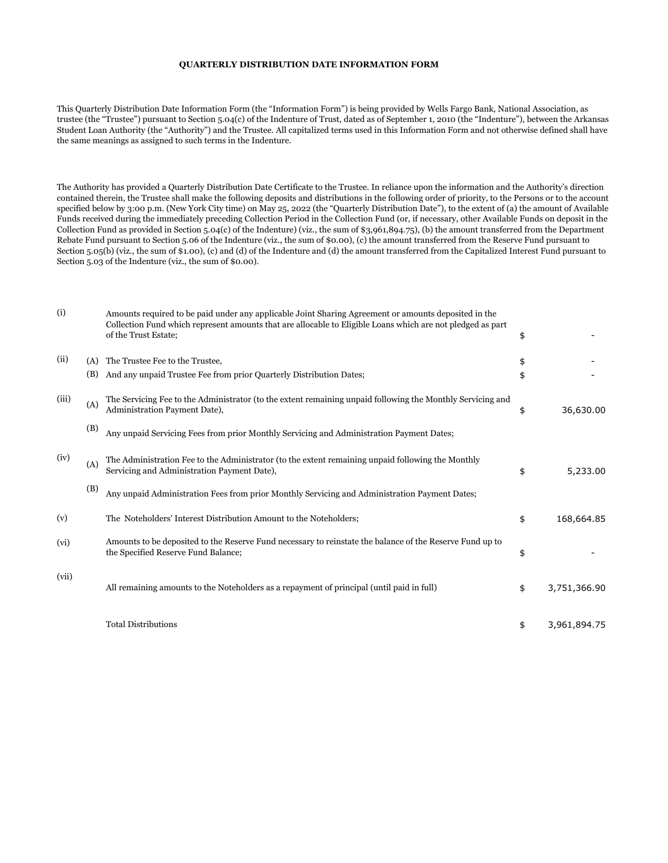## **QUARTERLY DISTRIBUTION DATE INFORMATION FORM**

This Quarterly Distribution Date Information Form (the "Information Form") is being provided by Wells Fargo Bank, National Association, as trustee (the "Trustee") pursuant to Section 5.04(c) of the Indenture of Trust, dated as of September 1, 2010 (the "Indenture"), between the Arkansas Student Loan Authority (the "Authority") and the Trustee. All capitalized terms used in this Information Form and not otherwise defined shall have the same meanings as assigned to such terms in the Indenture.

The Authority has provided a Quarterly Distribution Date Certificate to the Trustee. In reliance upon the information and the Authority's direction contained therein, the Trustee shall make the following deposits and distributions in the following order of priority, to the Persons or to the account specified below by 3:00 p.m. (New York City time) on May 25, 2022 (the "Quarterly Distribution Date"), to the extent of (a) the amount of Available Funds received during the immediately preceding Collection Period in the Collection Fund (or, if necessary, other Available Funds on deposit in the Collection Fund as provided in Section 5.04(c) of the Indenture) (viz., the sum of \$3,961,894.75), (b) the amount transferred from the Department Rebate Fund pursuant to Section 5.06 of the Indenture (viz., the sum of \$0.00), (c) the amount transferred from the Reserve Fund pursuant to Section 5.05(b) (viz., the sum of \$1.00), (c) and (d) of the Indenture and (d) the amount transferred from the Capitalized Interest Fund pursuant to Section 5.03 of the Indenture (viz., the sum of \$0.00).

| (i)   |            | Amounts required to be paid under any applicable Joint Sharing Agreement or amounts deposited in the<br>Collection Fund which represent amounts that are allocable to Eligible Loans which are not pledged as part<br>of the Trust Estate; | \$       |              |
|-------|------------|--------------------------------------------------------------------------------------------------------------------------------------------------------------------------------------------------------------------------------------------|----------|--------------|
| (ii)  | (A)<br>(B) | The Trustee Fee to the Trustee,<br>And any unpaid Trustee Fee from prior Quarterly Distribution Dates;                                                                                                                                     | \$<br>\$ |              |
|       |            |                                                                                                                                                                                                                                            |          |              |
| (iii) | (A)        | The Servicing Fee to the Administrator (to the extent remaining unpaid following the Monthly Servicing and<br>Administration Payment Date),                                                                                                | \$       | 36,630.00    |
|       | (B)        | Any unpaid Servicing Fees from prior Monthly Servicing and Administration Payment Dates;                                                                                                                                                   |          |              |
| (iv)  | (A)        | The Administration Fee to the Administrator (to the extent remaining unpaid following the Monthly<br>Servicing and Administration Payment Date),                                                                                           | \$       | 5,233.00     |
|       | (B)        | Any unpaid Administration Fees from prior Monthly Servicing and Administration Payment Dates;                                                                                                                                              |          |              |
| (v)   |            | The Noteholders' Interest Distribution Amount to the Noteholders;                                                                                                                                                                          | \$       | 168,664.85   |
| (vi)  |            | Amounts to be deposited to the Reserve Fund necessary to reinstate the balance of the Reserve Fund up to<br>the Specified Reserve Fund Balance;                                                                                            | \$       |              |
| (vii) |            | All remaining amounts to the Noteholders as a repayment of principal (until paid in full)                                                                                                                                                  | \$       | 3,751,366.90 |
|       |            | <b>Total Distributions</b>                                                                                                                                                                                                                 | \$       | 3,961,894.75 |